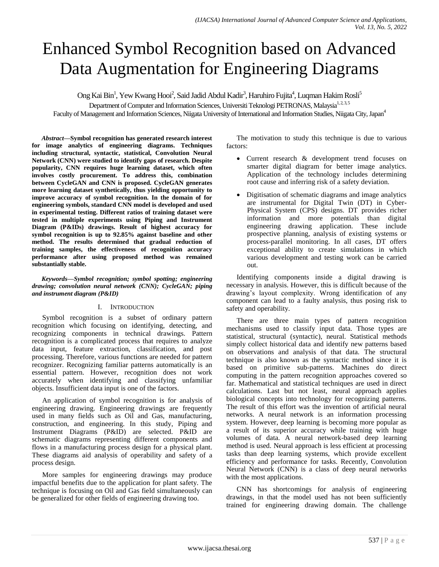# Enhanced Symbol Recognition based on Advanced Data Augmentation for Engineering Diagrams

Ong Kai Bin<sup>1</sup>, Yew Kwang Hooi<sup>2</sup>, Said Jadid Abdul Kadir<sup>3</sup>, Haruhiro Fujita<sup>4</sup>, Luqman Hakim Rosli<sup>5</sup>

Department of Computer and Information Sciences, Universiti Teknologi PETRONAS, Malaysia<sup>1,2,3,5</sup>

Faculty of Management and Information Sciences, Niigata University of International and Information Studies, Niigata City, Japan<sup>4</sup>

*Abstract***—Symbol recognition has generated research interest for image analytics of engineering diagrams. Techniques including structural, syntactic, statistical, Convolution Neural Network (CNN) were studied to identify gaps of research. Despite popularity, CNN requires huge learning dataset, which often involves costly procurement. To address this, combination between CycleGAN and CNN is proposed. CycleGAN generates more learning dataset synthetically, thus yielding opportunity to improve accuracy of symbol recognition. In the domain of for engineering symbols, standard CNN model is developed and used in experimental testing. Different ratios of training dataset were tested in multiple experiments using Piping and Instrument Diagram (P&IDs) drawings. Result of highest accuracy for symbol recognition is up to 92.85% against baseline and other method. The results determined that gradual reduction of training samples, the effectiveness of recognition accuracy performance after using proposed method was remained substantially stable.**

*Keywords—Symbol recognition; symbol spotting; engineering drawing; convolution neural network (CNN); CycleGAN; piping and instrument diagram (P&ID)*

### I. INTRODUCTION

Symbol recognition is a subset of ordinary pattern recognition which focusing on identifying, detecting, and recognizing components in technical drawings. Pattern recognition is a complicated process that requires to analyze data input, feature extraction, classification, and post processing. Therefore, various functions are needed for pattern recognizer. Recognizing familiar patterns automatically is an essential pattern. However, recognition does not work accurately when identifying and classifying unfamiliar objects. Insufficient data input is one of the factors.

An application of symbol recognition is for analysis of engineering drawing. Engineering drawings are frequently used in many fields such as Oil and Gas, manufacturing, construction, and engineering. In this study, Piping and Instrument Diagrams (P&ID) are selected. P&ID are schematic diagrams representing different components and flows in a manufacturing process design for a physical plant. These diagrams aid analysis of operability and safety of a process design.

More samples for engineering drawings may produce impactful benefits due to the application for plant safety. The technique is focusing on Oil and Gas field simultaneously can be generalized for other fields of engineering drawing too.

The motivation to study this technique is due to various factors:

- Current research & development trend focuses on smarter digital diagram for better image analytics. Application of the technology includes determining root cause and inferring risk of a safety deviation.
- Digitisation of schematic diagrams and image analytics are instrumental for Digital Twin (DT) in Cyber-Physical System (CPS) designs. DT provides richer information and more potentials than digital engineering drawing application. These include prospective planning, analysis of existing systems or process-parallel monitoring. In all cases, DT offers exceptional ability to create simulations in which various development and testing work can be carried out.

Identifying components inside a digital drawing is necessary in analysis. However, this is difficult because of the drawing's layout complexity. Wrong identification of any component can lead to a faulty analysis, thus posing risk to safety and operability.

There are three main types of pattern recognition mechanisms used to classify input data. Those types are statistical, structural (syntactic), neural. Statistical methods simply collect historical data and identify new patterns based on observations and analysis of that data. The structural technique is also known as the syntactic method since it is based on primitive sub-patterns. Machines do direct computing in the pattern recognition approaches covered so far. Mathematical and statistical techniques are used in direct calculations. Last but not least, neural approach applies biological concepts into technology for recognizing patterns. The result of this effort was the invention of artificial neural networks. A neural network is an information processing system. However, deep learning is becoming more popular as a result of its superior accuracy while training with huge volumes of data. A neural network-based deep learning method is used. Neural approach is less efficient at processing tasks than deep learning systems, which provide excellent efficiency and performance for tasks. Recently, Convolution Neural Network (CNN) is a class of deep neural networks with the most applications.

CNN has shortcomings for analysis of engineering drawings, in that the model used has not been sufficiently trained for engineering drawing domain. The challenge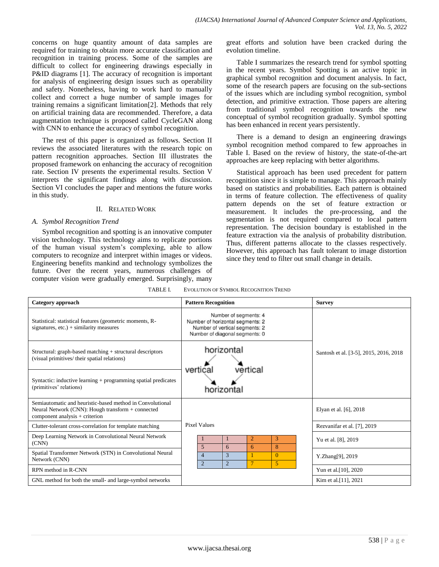concerns on huge quantity amount of data samples are required for training to obtain more accurate classification and recognition in training process. Some of the samples are difficult to collect for engineering drawings especially in P&ID diagrams [1]. The accuracy of recognition is important for analysis of engineering design issues such as operability and safety. Nonetheless, having to work hard to manually collect and correct a huge number of sample images for training remains a significant limitation[2]. Methods that rely on artificial training data are recommended. Therefore, a data augmentation technique is proposed called CycleGAN along with CNN to enhance the accuracy of symbol recognition.

The rest of this paper is organized as follows. Section II reviews the associated literatures with the research topic on pattern recognition approaches. Section III illustrates the proposed framework on enhancing the accuracy of recognition rate. Section IV presents the experimental results. Section V interprets the significant findings along with discussion. Section VI concludes the paper and mentions the future works in this study.

### II. RELATED WORK

#### *A. Symbol Recognition Trend*

Symbol recognition and spotting is an innovative computer vision technology. This technology aims to replicate portions of the human visual system's complexing, able to allow computers to recognize and interpret within images or videos. Engineering benefits mankind and technology symbolizes the future. Over the recent years, numerous challenges of computer vision were gradually emerged. Surprisingly, many great efforts and solution have been cracked during the evolution timeline.

Table I summarizes the research trend for symbol spotting in the recent years. Symbol Spotting is an active topic in graphical symbol recognition and document analysis. In fact, some of the research papers are focusing on the sub-sections of the issues which are including symbol recognition, symbol detection, and primitive extraction. Those papers are altering from traditional symbol recognition towards the new conceptual of symbol recognition gradually. Symbol spotting has been enhanced in recent years persistently.

There is a demand to design an engineering drawings symbol recognition method compared to few approaches in Table I. Based on the review of history, the state-of-the-art approaches are keep replacing with better algorithms.

Statistical approach has been used precedent for pattern recognition since it is simple to manage. This approach mainly based on statistics and probabilities. Each pattern is obtained in terms of feature collection. The effectiveness of quality pattern depends on the set of feature extraction or measurement. It includes the pre-processing, and the segmentation is not required compared to local pattern representation. The decision boundary is established in the feature extraction via the analysis of probability distribution. Thus, different patterns allocate to the classes respectively. However, this approach has fault tolerant to image distortion since they tend to filter out small change in details.

| TABLE L |  | <b>EVOLUTION OF SYMBOL RECOGNITION TREND</b> |
|---------|--|----------------------------------------------|
|         |  |                                              |

| Category approach                                                                                                                                  | <b>Pattern Recognition</b>                                                                                                    | <b>Survey</b>                          |  |
|----------------------------------------------------------------------------------------------------------------------------------------------------|-------------------------------------------------------------------------------------------------------------------------------|----------------------------------------|--|
| Statistical: statistical features (geometric moments, R-<br>signatures, $etc.$ ) + similarity measures                                             | Number of segments: 4<br>Number of horizontal segments: 2<br>Number of vertical segments: 2<br>Number of diagonal segments: 0 |                                        |  |
| Structural: graph-based matching + structural descriptors<br>(visual primitives/ their spatial relations)                                          | horizontal<br>vertical<br>vertical                                                                                            | Santosh et al. [3-5], 2015, 2016, 2018 |  |
| Syntactic: inductive learning $+$ programming spatial predicates<br>(primitives' relations)                                                        | horizontal                                                                                                                    |                                        |  |
| Semiautomatic and heuristic-based method in Convolutional<br>Neural Network (CNN): Hough transform + connected<br>component analysis $+$ criterion |                                                                                                                               | Elyan et al. [6], 2018                 |  |
| Clutter-tolerant cross-correlation for template matching                                                                                           | <b>Pixel Values</b>                                                                                                           | Rezvanifar et al. [7], 2019            |  |
| Deep Learning Network in Convolutional Neural Network<br>(CNN)                                                                                     | 3<br>$\overline{2}$<br>8<br>5<br>6<br>6                                                                                       | Yu et al. [8], 2019                    |  |
| Spatial Transformer Network (STN) in Convolutional Neural<br>Network (CNN)                                                                         | 3<br>$\Omega$<br>$\overline{4}$<br>$\overline{2}$<br>$\overline{2}$<br>$\overline{7}$<br>5                                    | Y.Zhang[9], 2019                       |  |
| RPN method in R-CNN                                                                                                                                |                                                                                                                               | Yun et al. [10], 2020                  |  |
| GNL method for both the small- and large-symbol networks                                                                                           |                                                                                                                               | Kim et al. [11], 2021                  |  |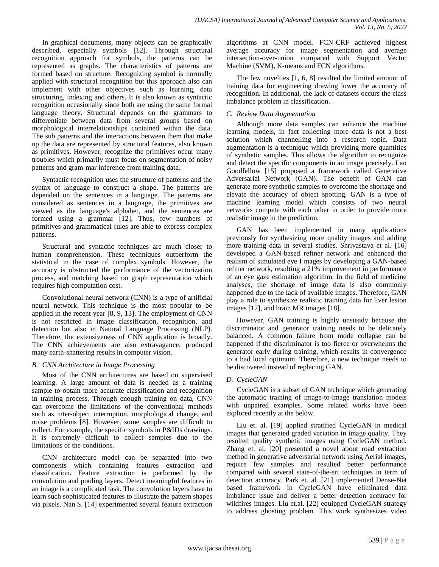In graphical documents, many objects can be graphically described, especially symbols [12]. Through structural recognition approach for symbols, the patterns can be represented as graphs. The characteristics of patterns are formed based on structure. Recognizing symbol is normally applied with structural recognition but this approach also can implement with other objectives such as learning, data structuring, indexing and others. It is also known as syntactic recognition occasionally since both are using the same formal language theory. Structural depends on the grammars to differentiate between data from several groups based on morphological interrelationships contained within the data. The sub patterns and the interactions between them that make up the data are represented by structural features, also known as primitives. However, recognize the primitives occur many troubles which primarily must focus on segmentation of noisy patterns and gram-mar inference from training data.

Syntactic recognition uses the structure of patterns and the syntax of language to construct a shape. The patterns are depended on the sentences in a language. The patterns are considered as sentences in a language, the primitives are viewed as the language's alphabet, and the sentences are formed using a grammar [12]. Thus, few numbers of primitives and grammatical rules are able to express complex patterns.

Structural and syntactic techniques are much closer to human comprehension. These techniques outperform the statistical in the case of complex symbols. However, the accuracy is obstructed the performance of the vectorization process, and matching based on graph representation which requires high computation cost.

Convolutional neural network (CNN) is a type of artificial neural network. This technique is the most popular to be applied in the recent year [8, 9, 13]. The employment of CNN is not restricted in image classification, recognition, and detection but also in Natural Language Processing (NLP). Therefore, the extensiveness of CNN application is broadly. The CNN achievements are also extravagance; produced many earth-shattering results in computer vision.

## *B. CNN Architecture in Image Processing*

Most of the CNN architectures are based on supervised learning. A large amount of data is needed as a training sample to obtain more accurate classification and recognition in training process. Through enough training on data, CNN can overcome the limitations of the conventional methods such as inter-object interruption, morphological change, and noise problems [8]. However, some samples are difficult to collect. For example, the specific symbols in P&IDs drawings. It is extremely difficult to collect samples due to the limitations of the conditions.

CNN architecture model can be separated into two components which containing features extraction and classification. Feature extraction is performed by the convolution and pooling layers. Detect meaningful features in an image is a complicated task. The convolution layers have to learn such sophisticated features to illustrate the pattern shapes via pixels. Nan S. [14] experimented several feature extraction algorithms at CNN model. FCN-CRF achieved highest average accuracy for image segmentation and average intersection-over-union compared with Support Vector Machine (SVM), K-means and FCN algorithms.

The few novelties [1, 6, 8] resulted the limited amount of training data for engineering drawing lower the accuracy of recognition. In additional, the lack of datasets occurs the class imbalance problem in classification.

## *C. Review Data Augmentation*

Although more data samples can enhance the machine learning models, in fact collecting more data is not a best solution which channelling into a research topic. Data augmentation is a technique which providing more quantities of synthetic samples. This allows the algorithm to recognize and detect the specific components in an image precisely. Lan Goodfellow [15] proposed a framework called Generative Adversarial Network (GAN). The benefit of GAN can generate more synthetic samples to overcome the shortage and elevate the accuracy of object spotting. GAN is a type of machine learning model which consists of two neural networks compete with each other in order to provide more realistic image in the prediction.

GAN has been implemented in many applications previously for synthesizing more quality images and adding more training data in several studies. Shrivastava et al. [16] developed a GAN-based refiner network and enhanced the realism of simulated eye I mages by developing a GAN-based refiner network, resulting a 21% improvement in performance of an eye gaze estimation algorithm. In the field of medicine analyses, the shortage of image data is also commonly happened due to the lack of available images. Therefore, GAN play a role to synthesize realistic training data for liver lesion images [17], and brain MR images [18].

However, GAN training is highly unsteady because the discriminator and generator training needs to be delicately balanced. A common failure from mode collapse can be happened if the discriminator is too fierce or overwhelms the generator early during training, which results in convergence to a bad local optimum. Therefore, a new technique needs to be discovered instead of replacing GAN.

## *D. CycleGAN*

CycleGAN is a subset of GAN technique which generating the automatic training of image-to-image translation models with unpaired examples. Some related works have been explored recently at the below.

Liu et. al. [19] applied stratified CycleGAN in medical images that generated graded variation in image quality. They resulted quality synthetic images using CycleGAN method. Zhang et. al. [20] presented a novel about road extraction method in generative adversarial network using Aerial images, require few samples and resulted better performance compared with several state-of-the-art techniques in term of detection accuracy. Park et. al. [21] implemented Dense-Net based framework in CycleGAN have eliminated data imbalance issue and deliver a better detection accuracy for wildfires images. Liu et.al. [22] equipped CycleGAN strategy to address ghosting problem. This work synthesizes video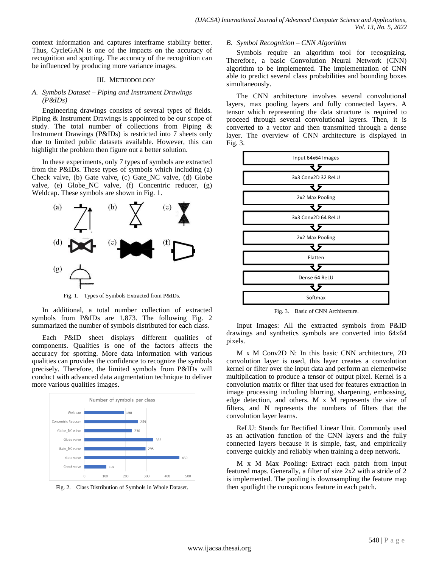context information and captures interframe stability better. Thus, CycleGAN is one of the impacts on the accuracy of recognition and spotting. The accuracy of the recognition can be influenced by producing more variance images.

#### III. METHODOLOGY

### *A. Symbols Dataset – Piping and Instrument Drawings (P&IDs)*

Engineering drawings consists of several types of fields. Piping & Instrument Drawings is appointed to be our scope of study. The total number of collections from Piping & Instrument Drawings (P&IDs) is restricted into 7 sheets only due to limited public datasets available. However, this can highlight the problem then figure out a better solution.

In these experiments, only 7 types of symbols are extracted from the P&IDs. These types of symbols which including (a) Check valve, (b) Gate valve, (c) Gate\_NC valve, (d) Globe valve, (e) Globe\_NC valve, (f) Concentric reducer, (g) Weldcap. These symbols are shown in Fig. 1.



Fig. 1. Types of Symbols Extracted from P&IDs.

In additional, a total number collection of extracted symbols from P&IDs are 1,873. The following Fig. 2 summarized the number of symbols distributed for each class.

Each P&ID sheet displays different qualities of components. Qualities is one of the factors affects the accuracy for spotting. More data information with various qualities can provides the confidence to recognize the symbols precisely. Therefore, the limited symbols from P&IDs will conduct with advanced data augmentation technique to deliver more various qualities images.





#### *B. Symbol Recognition – CNN Algorithm*

Symbols require an algorithm tool for recognizing. Therefore, a basic Convolution Neural Network (CNN) algorithm to be implemented. The implementation of CNN able to predict several class probabilities and bounding boxes simultaneously.

The CNN architecture involves several convolutional layers, max pooling layers and fully connected layers. A tensor which representing the data structure is required to proceed through several convolutional layers. Then, it is converted to a vector and then transmitted through a dense layer. The overview of CNN architecture is displayed in Fig. 3.



Fig. 3. Basic of CNN Architecture.

Input Images: All the extracted symbols from P&ID drawings and synthetics symbols are converted into 64x64 pixels.

M x M Conv2D N: In this basic CNN architecture, 2D convolution layer is used, this layer creates a convolution kernel or filter over the input data and perform an elementwise multiplication to produce a tensor of output pixel. Kernel is a convolution matrix or filter that used for features extraction in image processing including blurring, sharpening, embossing, edge detection, and others. M x M represents the size of filters, and N represents the numbers of filters that the convolution layer learns.

ReLU: Stands for Rectified Linear Unit. Commonly used as an activation function of the CNN layers and the fully connected layers because it is simple, fast, and empirically converge quickly and reliably when training a deep network.

M x M Max Pooling: Extract each patch from input featured maps. Generally, a filter of size 2x2 with a stride of 2 is implemented. The pooling is downsampling the feature map then spotlight the conspicuous feature in each patch.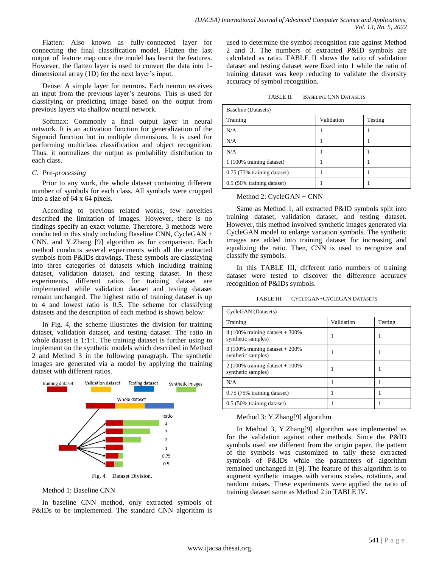Flatten: Also known as fully-connected layer for connecting the final classification model. Flatten the last output of feature map once the model has learnt the features. However, the flatten layer is used to convert the data into 1 dimensional array (1D) for the next layer's input.

Dense: A simple layer for neurons. Each neuron receives an input from the previous layer's neurons. This is used for classifying or predicting image based on the output from previous layers via shallow neural network.

Softmax: Commonly a final output layer in neural network. It is an activation function for generalization of the Sigmoid function but in multiple dimensions. It is used for performing multiclass classification and object recognition. Thus, it normalizes the output as probability distribution to each class.

#### *C. Pre-processing*

Prior to any work, the whole dataset containing different number of symbols for each class. All symbols were cropped into a size of 64 x 64 pixels.

According to previous related works, few novelties described the limitation of images. However, there is no findings specify an exact volume. Therefore, 3 methods were conducted in this study including Baseline CNN, CycleGAN  $+$ CNN, and Y.Zhang [9] algorithm as for comparison. Each method conducts several experiments with all the extracted symbols from P&IDs drawings. These symbols are classifying into three categories of datasets which including training dataset, validation dataset, and testing dataset. In these experiments, different ratios for training dataset are implemented while validation dataset and testing dataset remain unchanged. The highest ratio of training dataset is up to 4 and lowest ratio is 0.5. The scheme for classifying datasets and the description of each method is shown below:

In Fig. 4, the scheme illustrates the division for training dataset, validation dataset, and testing dataset. The ratio in whole dataset is 1:1:1. The training dataset is further using to implement on the synthetic models which described in Method 2 and Method 3 in the following paragraph. The synthetic images are generated via a model by applying the training dataset with different ratios.



### Method 1: Baseline CNN

In baseline CNN method, only extracted symbols of P&IDs to be implemented. The standard CNN algorithm is used to determine the symbol recognition rate against Method 2 and 3. The numbers of extracted P&ID symbols are calculated as ratio. TABLE II shows the ratio of validation dataset and testing dataset were fixed into 1 while the ratio of training dataset was keep reducing to validate the diversity accuracy of symbol recognition.

| TABLE II. | <b>BASELINE CNN DATASETS</b> |  |
|-----------|------------------------------|--|
|           |                              |  |

| Baseline (Datasets)         |            |         |  |  |  |  |
|-----------------------------|------------|---------|--|--|--|--|
| Training                    | Validation | Testing |  |  |  |  |
| N/A                         |            |         |  |  |  |  |
| N/A                         |            |         |  |  |  |  |
| N/A                         |            |         |  |  |  |  |
| 1 (100% training dataset)   |            |         |  |  |  |  |
| 0.75 (75% training dataset) |            |         |  |  |  |  |
| 0.5 (50% training dataset)  |            |         |  |  |  |  |

#### Method 2: CycleGAN + CNN

Same as Method 1, all extracted P&ID symbols split into training dataset, validation dataset, and testing dataset. However, this method involved synthetic images generated via CycleGAN model to enlarge variation symbols. The synthetic images are added into training dataset for increasing and equalizing the ratio. Then, CNN is used to recognize and classify the symbols.

In this TABLE III, different ratio numbers of training dataset were tested to discover the difference accuracy recognition of P&IDs symbols.

TABLE III. CYCLEGAN+CYCLEGAN DATASETS

| CycleGAN (Datasets)                                        |            |         |  |  |  |  |
|------------------------------------------------------------|------------|---------|--|--|--|--|
| Training                                                   | Validation | Testing |  |  |  |  |
| 4 (100% training dataset $+300\%$<br>synthetic samples)    |            |         |  |  |  |  |
| $3(100\%$ training dataset + 200%<br>synthetic samples)    |            |         |  |  |  |  |
| 2 (100% training dataset + $100\%$ )<br>synthetic samples) |            |         |  |  |  |  |
| N/A                                                        |            |         |  |  |  |  |
| 0.75 (75% training dataset)                                |            |         |  |  |  |  |
| 0.5 (50% training dataset)                                 |            |         |  |  |  |  |

### Method 3: Y.Zhang[9] algorithm

In Method 3, Y.Zhang[9] algorithm was implemented as for the validation against other methods. Since the P&ID symbols used are different from the origin paper, the pattern of the symbols was customized to tally these extracted symbols of P&IDs while the parameters of algorithm remained unchanged in [9]. The feature of this algorithm is to augment synthetic images with various scales, rotations, and random noises. These experiments were applied the ratio of training dataset same as Method 2 in TABLE IV.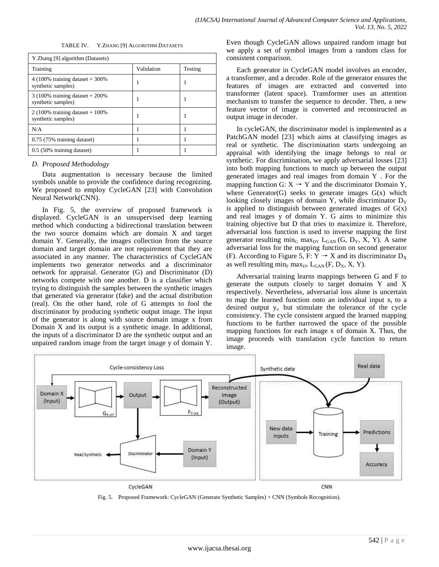| TABLE IV.                    | Y.ZHANG [9] ALGORITHM DATASETS |  |
|------------------------------|--------------------------------|--|
| ang [9] algorithm (Datasets) |                                |  |
|                              |                                |  |

| 1.21                                                    |            |         |
|---------------------------------------------------------|------------|---------|
| Training                                                | Validation | Testing |
| 4 (100% training dataset $+300\%$<br>synthetic samples) |            |         |
| $3(100\%$ training dataset + 200%<br>synthetic samples) |            |         |
| $2(100\%$ training dataset + 100%<br>synthetic samples) |            |         |
| N/A                                                     |            |         |
| 0.75 (75% training dataset)                             |            |         |
| $0.5$ (50% training dataset)                            |            |         |

## *D. Proposed Methodology*

 $YZh$ 

Data augmentation is necessary because the limited symbols unable to provide the confidence during recognizing. We proposed to employ CycleGAN [23] with Convolution Neural Network(CNN).

In Fig. 5, the overview of proposed framework is displayed. CycleGAN is an unsupervised deep learning method which conducting a bidirectional translation between the two source domains which are domain X and target domain Y. Generally, the images collection from the source domain and target domain are not requirement that they are associated in any manner. The characteristics of CycleGAN implements two generator networks and a discriminator network for appraisal. Generator (G) and Discriminator (D) networks compete with one another. D is a classifier which trying to distinguish the samples between the synthetic images that generated via generator (fake) and the actual distribution (real). On the other hand, role of G attempts to fool the discriminator by producing synthetic output image. The input of the generator is along with source domain image x from Domain X and its output is a synthetic image. In additional, the inputs of a discriminator D are the synthetic output and an unpaired random image from the target image y of domain Y. Even though CycleGAN allows unpaired random image but we apply a set of symbol images from a random class for consistent comparison.

Each generator in CycleGAN model involves an encoder, a transformer, and a decoder. Role of the generator ensures the features of images are extracted and converted into transformer (latent space). Transformer uses an attention mechanism to transfer the sequence to decoder. Then, a new feature vector of image is converted and reconstructed as output image in decoder.

In cycleGAN, the discriminator model is implemented as a PatchGAN model [23] which aims at classifying images as real or synthetic. The discrimination starts undergoing an appraisal with identifying the image belongs to real or synthetic. For discrimination, we apply adversarial losses [23] into both mapping functions to match up between the output generated images and real images from domain Y . For the mapping function G:  $X \rightarrow Y$  and the discriminator Domain Y, where Generator(G) seeks to generate images  $G(x)$  which looking closely images of domain Y, while discriminator  $D<sub>Y</sub>$ is applied to distinguish between generated images of  $G(x)$ and real images y of domain Y. G aims to minimize this training objective but D that tries to maximize it. Therefore, adversarial loss function is used to inverse mapping the first generator resulting  $\min_G \max_{DY} L_{GAN}$  (G, D<sub>Y</sub>, X, Y). A same adversarial loss for the mapping function on second generator (F). According to Figure 5, F:  $Y \rightarrow X$  and its discriminator  $D_X$ as well resulting min<sub>F</sub> max<sub>DX</sub> L<sub>GAN</sub> (F, D<sub>X</sub>, X, Y).

Adversarial training learns mappings between G and F to generate the outputs closely to target domains Y and X respectively. Nevertheless, adversarial loss alone is uncertain to map the learned function onto an individual input  $x_i$  to a desired output  $y_i$ . but stimulate the tolerance of the cycle consistency. The cycle consistent argued the learned mapping functions to be further narrowed the space of the possible mapping functions for each image x of domain X. Thus, the image proceeds with translation cycle function to return image.



Fig. 5. Proposed Framework: CycleGAN (Generate Synthetic Samples) + CNN (Symbols Recognition).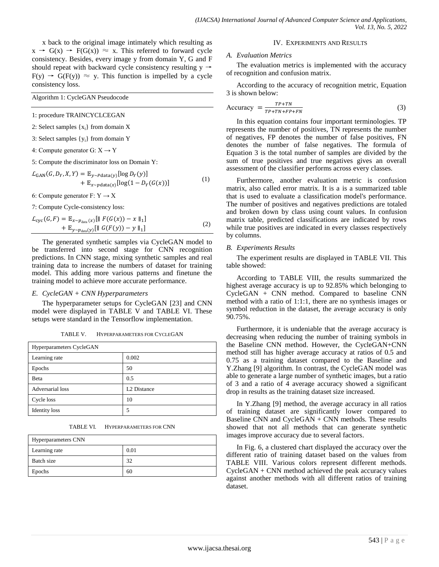x back to the original image intimately which resulting as  $x \rightarrow G(x) \rightarrow F(G(x)) \approx x$ . This referred to forward cycle consistency. Besides, every image y from domain Y, G and F should repeat with backward cycle consistency resulting  $y \rightarrow$  $F(y) \rightarrow G(F(y)) \approx y$ . This function is impelled by a cycle consistency loss.

Algorithm 1: CycleGAN Pseudocode

- 1: procedure TRAINCYCLCEGAN
- 2: Select samples  $\{x_i\}$  from domain X
- 3: Select samples  $\{y_i\}$  from domain Y
- 4: Compute generator G:  $X \rightarrow Y$

5: Compute the discriminator loss on Domain Y:

$$
L_{GAN}(G, D_Y, X, Y) = \mathbb{E}_{y \sim Pdata(y)}[\log D_Y(y)] + \mathbb{E}_{x \sim pdata(x)}[\log(1 - D_Y(G(x)))] \tag{1}
$$

6: Compute generator  $F: Y \to X$ 

7: Compute Cycle-consistency loss:

 $\mathcal{L}_{\text{cyc}}(G, F) = \mathbb{E}_{x \sim p_{\text{data}}(x)}[\| F(G(x)) - x \|_1]$ +  $\mathbb{E}_{y \sim p_{data}(y)}[\| G(F(y)) - y \|_1]$ (2)

The generated synthetic samples via CycleGAN model to be transferred into second stage for CNN recognition predictions. In CNN stage, mixing synthetic samples and real training data to increase the numbers of dataset for training model. This adding more various patterns and finetune the training model to achieve more accurate performance.

#### *E. CycleGAN + CNN Hyperparameters*

The hyperparameter setups for CycleGAN [23] and CNN model were displayed in TABLE V and TABLE VI. These setups were standard in the Tensorflow implementation.

TABLE V. HYPERPARAMETERS FOR CYCLEGAN

| Hyperparameters CycleGAN |                         |  |  |  |  |
|--------------------------|-------------------------|--|--|--|--|
| Learning rate            | 0.002                   |  |  |  |  |
| Epochs                   | 50                      |  |  |  |  |
| Beta                     | 0.5                     |  |  |  |  |
| Adversarial loss         | L <sub>2</sub> Distance |  |  |  |  |
| Cycle loss               | 10                      |  |  |  |  |
| <b>Identity</b> loss     | 5                       |  |  |  |  |

TABLE VI. HYPERPARAMETERS FOR CNN

| Hyperparameters CNN |      |  |  |  |  |
|---------------------|------|--|--|--|--|
| Learning rate       | 0.01 |  |  |  |  |
| Batch size          | 32   |  |  |  |  |
| Epochs              | 60   |  |  |  |  |

## IV. EXPERIMENTS AND RESULTS

#### *A. Evaluation Metrics*

The evaluation metrics is implemented with the accuracy of recognition and confusion matrix.

According to the accuracy of recognition metric, Equation 3 is shown below:

$$
Accuracy = \frac{TP + TN}{TP + TN + FP + FN}
$$
 (3)

In this equation contains four important terminologies. TP represents the number of positives, TN represents the number of negatives, FP denotes the number of false positives, FN denotes the number of false negatives. The formula of Equation 3 is the total number of samples are divided by the sum of true positives and true negatives gives an overall assessment of the classifier performs across every classes.

Furthermore, another evaluation metric is confusion matrix, also called error matrix. It is a is a summarized table that is used to evaluate a classification model's performance. The number of positives and negatives predictions are totaled and broken down by class using count values. In confusion matrix table, predicted classifications are indicated by rows while true positives are indicated in every classes respectively by columns.

#### *B. Experiments Results*

The experiment results are displayed in TABLE VII. This table showed:

According to TABLE VIII, the results summarized the highest average accuracy is up to 92.85% which belonging to CycleGAN + CNN method. Compared to baseline CNN method with a ratio of 1:1:1, there are no synthesis images or symbol reduction in the dataset, the average accuracy is only 90.75%.

Furthermore, it is undeniable that the average accuracy is decreasing when reducing the number of training symbols in the Baseline CNN method. However, the CycleGAN+CNN method still has higher average accuracy at ratios of 0.5 and 0.75 as a training dataset compared to the Baseline and Y.Zhang [9] algorithm. In contrast, the CycleGAN model was able to generate a large number of synthetic images, but a ratio of 3 and a ratio of 4 average accuracy showed a significant drop in results as the training dataset size increased.

In Y.Zhang [9] method, the average accuracy in all ratios of training dataset are significantly lower compared to Baseline CNN and CycleGAN + CNN methods. These results showed that not all methods that can generate synthetic images improve accuracy due to several factors.

In Fig. 6, a clustered chart displayed the accuracy over the different ratio of training dataset based on the values from TABLE VIII. Various colors represent different methods.  $CycleGAN + CNN$  method achieved the peak accuracy values against another methods with all different ratios of training dataset.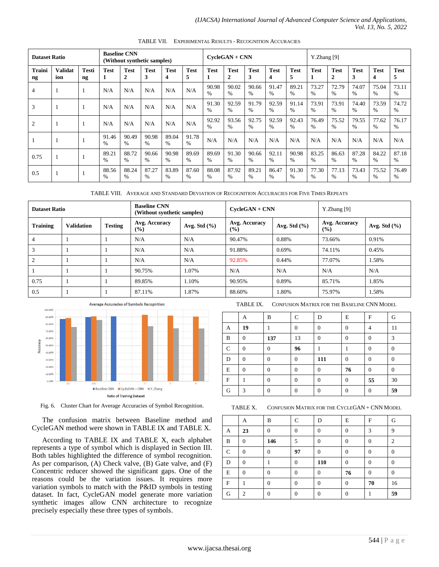| <b>Baseline CNN</b><br><b>Dataset Ratio</b><br>(Without synthetic samples) |                       |                              | $CycleGAN + CNN$       |                  |                  |                        | Y.Zhang [9]            |                        |                             |                        |                        |                        |                        |                             |                        |                  |                  |
|----------------------------------------------------------------------------|-----------------------|------------------------------|------------------------|------------------|------------------|------------------------|------------------------|------------------------|-----------------------------|------------------------|------------------------|------------------------|------------------------|-----------------------------|------------------------|------------------|------------------|
| Traini<br>ng                                                               | <b>Validat</b><br>ion | <b>Testi</b><br>$\mathbf{n}$ | Test<br>1              | <b>Test</b><br>2 | <b>Test</b><br>3 | <b>Test</b><br>4       | <b>Test</b><br>5       | <b>Test</b><br>1       | <b>Test</b><br>$\mathbf{2}$ | <b>Test</b><br>3       | <b>Test</b><br>4       | <b>Test</b><br>5       | <b>Test</b>            | <b>Test</b><br>$\mathbf{2}$ | <b>Test</b><br>3       | <b>Test</b><br>4 | <b>Test</b><br>5 |
| $\overline{4}$                                                             |                       | -1                           | N/A                    | N/A              | N/A              | N/A                    | N/A                    | 90.98<br>$\%$          | 90.02<br>$\%$               | 90.66<br>$\%$          | 91.47<br>$\frac{0}{0}$ | 89.21<br>$\frac{0}{0}$ | 73.27<br>$\%$          | 72.79<br>$\%$               | 74.07<br>$\frac{0}{0}$ | 75.04<br>$\%$    | 73.11<br>$\%$    |
| 3                                                                          |                       | $\mathbf{1}$                 | N/A                    | N/A              | N/A              | N/A                    | N/A                    | 91.30<br>$\%$          | 92.59<br>$\frac{0}{0}$      | 91.79<br>$\frac{0}{0}$ | 92.59<br>$\frac{0}{0}$ | 91.14<br>$\%$          | 73.91<br>$\frac{0}{6}$ | 73.91<br>$\%$               | 74.40<br>$\%$          | 73.59<br>$\%$    | 74.72<br>$\%$    |
| $\overline{2}$                                                             |                       | $\mathbf{1}$                 | N/A                    | N/A              | N/A              | N/A                    | N/A                    | 92.92<br>$\frac{0}{0}$ | 93.56<br>$\frac{0}{0}$      | 92.75<br>$\frac{0}{0}$ | 92.59<br>$\frac{0}{0}$ | 92.43<br>$\frac{0}{0}$ | 76.49<br>$\frac{0}{6}$ | 75.52<br>$\frac{0}{6}$      | 79.55<br>$\%$          | 77.62<br>$\%$    | 76.17<br>$\%$    |
|                                                                            |                       | $\mathbf{1}$                 | 91.46<br>$\frac{0}{0}$ | 90.49<br>%       | 90.98<br>$\%$    | 89.04<br>$\frac{0}{0}$ | 91.78<br>$\frac{0}{0}$ | N/A                    | N/A                         | N/A                    | N/A                    | N/A                    | N/A                    | N/A                         | N/A                    | N/A              | N/A              |
| 0.75                                                                       |                       | -1                           | 89.21<br>$\frac{0}{0}$ | 88.72<br>$\%$    | 90.66<br>$\%$    | 90.98<br>$\frac{0}{0}$ | 89.69<br>$\%$          | 89.69<br>$\%$          | 91.30<br>$\%$               | 90.66<br>$\%$          | 92.11<br>$\frac{0}{0}$ | 90.98<br>$\frac{0}{0}$ | 83.25<br>$\frac{0}{6}$ | 86.63<br>$\frac{0}{0}$      | 87.28<br>$\frac{0}{0}$ | 84.22<br>$\%$    | 87.18<br>$\%$    |
| 0.5                                                                        |                       | -1                           | 88.56<br>$\%$          | 88.24<br>%       | 87.27<br>$\%$    | 83.89<br>$\frac{0}{0}$ | 87.60<br>%             | 88.08<br>$\%$          | 87.92<br>$\%$               | 89.21<br>$\%$          | 86.47<br>%             | 91.30<br>$\%$          | 77.30<br>$\%$          | 77.13<br>$\%$               | 73.43<br>$\%$          | 75.52<br>$\%$    | 76.49<br>$\%$    |

TABLE VII. EXPERIMENTAL RESULTS - RECOGNITION ACCURACIES

TABLE VIII. AVERAGE AND STANDARD DEVIATION OF RECOGNITION ACCURACIES FOR FIVE TIMES REPEATS

| <b>Dataset Ratio</b> |                   | <b>Baseline CNN</b><br>(Without synthetic samples) |                      | $C$ vcle $GAN + CNN$ |                      | $Y.Z$ hang [9]   |                         |                  |
|----------------------|-------------------|----------------------------------------------------|----------------------|----------------------|----------------------|------------------|-------------------------|------------------|
| <b>Training</b>      | <b>Validation</b> | <b>Testing</b>                                     | Avg. Accuracy<br>(%) | Avg. Std $(\% )$     | Avg. Accuracy<br>(%) | Avg. Std $(\% )$ | Avg. Accuracy<br>$(\%)$ | Avg. Std $(\% )$ |
| $\overline{4}$       |                   |                                                    | N/A                  | N/A                  | 90.47%               | 0.88%            | 73.66%                  | 0.91%            |
| 3                    |                   |                                                    | N/A                  | N/A                  | 91.88%               | 0.69%            | 74.11%                  | 0.45%            |
| $\overline{2}$       |                   |                                                    | N/A                  | N/A                  | 92.85%               | 0.44%            | 77.07%                  | 1.58%            |
|                      |                   |                                                    | 90.75%               | 1.07%                | N/A                  | N/A              | N/A                     | N/A              |
| 0.75                 |                   |                                                    | 89.85%               | 1.10%                | 90.95%               | 0.89%            | 85.71%                  | 1.85%            |
| 0.5                  |                   |                                                    | 87.11%               | 1.87%                | 88.60%               | 1.80%            | 75.97%                  | 1.58%            |



Fig. 6. Cluster Chart for Average Accuracies of Symbol Recognition.

The confusion matrix between Baseline method and CycleGAN method were shown in TABLE IX and TABLE X.

According to TABLE IX and TABLE X, each alphabet represents a type of symbol which is displayed in Section III. Both tables highlighted the difference of symbol recognition. As per comparison, (A) Check valve, (B) Gate valve, and (F) Concentric reducer showed the significant gaps. One of the reasons could be the variation issues. It requires more variation symbols to match with the P&ID symbols in testing dataset. In fact, CycleGAN model generate more variation synthetic images allow CNN architecture to recognize precisely especially these three types of symbols.

TABLE IX. CONFUSION MATRIX FOR THE BASELINE CNN MODEL

|               | А        | B        | C        | D        | E            | F        | G              |
|---------------|----------|----------|----------|----------|--------------|----------|----------------|
| A             | 19       |          | $\Omega$ | $\theta$ | $\theta$     | 4        | 11             |
| B             | $\Omega$ | 137      | 13       | $\theta$ | $\Omega$     | $\theta$ | 3              |
| $\mathcal{C}$ | $\Omega$ | $\theta$ | 96       |          |              | $\theta$ | $\overline{0}$ |
| D             | $\Omega$ | $\theta$ | $\Omega$ | 111      | $\mathbf{0}$ | $\theta$ | $\overline{0}$ |
| E             | $\theta$ | $\theta$ | $\theta$ | $\theta$ | 76           | $\theta$ | $\theta$       |
| ${\bf F}$     |          | $\theta$ | $\Omega$ | $\theta$ | $\mathbf{0}$ | 55       | 30             |
| G             | 3        | $\theta$ | $\Omega$ | $\theta$ | $\Omega$     | $\Omega$ | 59             |

TABLE X. CONFUSION MATRIX FOR THE CYCLEGAN + CNN MODEL

|   | А             | B        | C        | D        | E        | F        | G              |
|---|---------------|----------|----------|----------|----------|----------|----------------|
| A | 23            | $\Omega$ | $\theta$ | $\Omega$ | $\theta$ | 3        | 9              |
| B | $\Omega$      | 146      | 5        | $\Omega$ | 0        | $\theta$ | $\overline{c}$ |
| C | $\theta$      | $\Omega$ | 97       | $\Omega$ | $\Omega$ | $\Omega$ | $\theta$       |
| D | $\theta$      |          | $\Omega$ | 110      | $\theta$ | $\theta$ | $\theta$       |
| E | $\Omega$      | $\Omega$ | 0        | $\Omega$ | 76       | $\Omega$ | $\Omega$       |
| F |               | 0        | 0        | $\Omega$ | $\Omega$ | 70       | 16             |
| G | $\mathcal{D}$ | $\Omega$ | $\Omega$ | $\Omega$ | $\theta$ |          | 59             |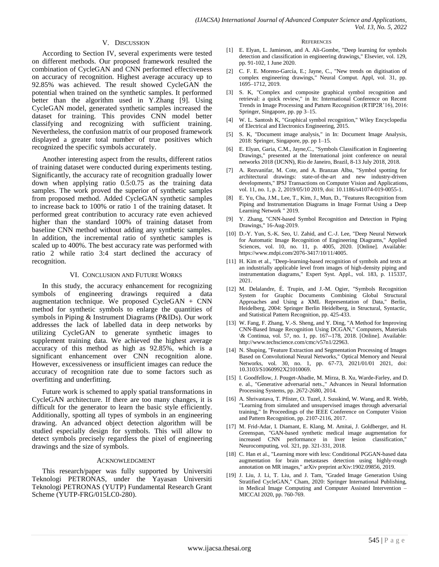#### V. DISCUSSION

According to Section IV, several experiments were tested on different methods. Our proposed framework resulted the combination of CycleGAN and CNN performed effectiveness on accuracy of recognition. Highest average accuracy up to 92.85% was achieved. The result showed CycleGAN the potential when trained on the synthetic samples. It performed better than the algorithm used in Y.Zhang [9]. Using CycleGAN model, generated synthetic samples increased the dataset for training. This provides CNN model better classifying and recognizing with sufficient training. Nevertheless, the confusion matrix of our proposed framework displayed a greater total number of true positives which recognized the specific symbols accurately.

Another interesting aspect from the results, different ratios of training dataset were conducted during experiments testing. Significantly, the accuracy rate of recognition gradually lower down when applying ratio 0.5:0.75 as the training data samples. The work proved the superior of synthetic samples from proposed method. Added CycleGAN synthetic samples to increase back to 100% or ratio 1 of the training dataset. It performed great contribution to accuracy rate even achieved higher than the standard 100% of training dataset from baseline CNN method without adding any synthetic samples. In addition, the incremental ratio of synthetic samples is scaled up to 400%. The best accuracy rate was performed with ratio 2 while ratio 3:4 start declined the accuracy of recognition.

#### VI. CONCLUSION AND FUTURE WORKS

In this study, the accuracy enhancement for recognizing symbols of engineering drawings required a data augmentation technique. We proposed CycleGAN + CNN method for synthetic symbols to enlarge the quantities of symbols in Piping & Instrument Diagrams (P&IDs). Our work addresses the lack of labelled data in deep networks by utilizing CycleGAN to generate synthetic images to supplement training data. We achieved the highest average accuracy of this method as high as 92.85%, which is a significant enhancement over CNN recognition alone. However, excessiveness or insufficient images can reduce the accuracy of recognition rate due to some factors such as overfitting and underfitting.

Future work is schemed to apply spatial transformations in CycleGAN architecture. If there are too many changes, it is difficult for the generator to learn the basic style efficiently. Additionally, spotting all types of symbols in an engineering drawing. An advanced object detection algorithm will be studied especially design for symbols. This will allow to detect symbols precisely regardless the pixel of engineering drawings and the size of symbols.

#### ACKNOWLEDGMENT

This research/paper was fully supported by Universiti Teknologi PETRONAS, under the Yayasan Universiti Teknologi PETRONAS (YUTP) Fundamental Research Grant Scheme (YUTP-FRG/015LC0-280).

#### **REFERENCES**

- [1] E. Elyan, L. Jamieson, and A. Ali-Gombe, "Deep learning for symbols detection and classification in engineering drawings," Elsevier, vol. 129, pp. 91-102, 1 June 2020.
- [2] C. F. E. Moreno-García, E.; Jayne, C., "New trends on digitisation of complex engineering drawings," Neural Comput. Appl, vol. 31, pp. 1695–1712, 2019.
- [3] S. K, "Complex and composite graphical symbol recognition and retrieval: a quick review," in In: International Conference on Recent Trends in Image Processing and Pattern Recognition (RTIP2R'16), 2016: Springer, Singapore, pp. pp 3–15.
- [4] W. L. Santosh K, "Graphical symbol recognition," Wiley Encyclopedia of Electrical and Electronics Engineering, 2015.
- [5] S. K, "Document image analysis," in In: Document Image Analysis, 2018: Springer, Singapore, pp. pp 1–15.
- [6] E. Elyan, Garia, C.M., Jayne,C., "Symbols Classification in Engineering Drawings," presented at the International joint conference on neural networks 2018 (IJCNN), Rio de Janeiro, Brazil, 8-13 July 2018, 2018.
- [7] A. Rezvanifar, M. Cote, and A. Branzan Albu, "Symbol spotting for architectural drawings: state-of-the-art and new industry-driven developments," IPSJ Transactions on Computer Vision and Applications, vol. 11, no. 1, p. 2, 2019/05/10 2019, doi: 10.1186/s41074-019-0055-1.
- [8] E. Yu, Cha, J.M., Lee, T., Kim, J., Mun, D., "Features Recognition from Piping and Instrumentation Diagrams in Image Format Using a Deep Learning Network " 2019.
- [9] Y. Zhang, "CNN-based Symbol Recognition and Detection in Piping Drawings," 16-Aug-2019.
- [10] D.-Y. Yun, S.-K. Seo, U. Zahid, and C.-J. Lee, "Deep Neural Network for Automatic Image Recognition of Engineering Diagrams," Applied Sciences, vol. 10, no. 11, p. 4005, 2020. [Online]. Available: https://www.mdpi.com/2076-3417/10/11/4005.
- [11] H. Kim et al., "Deep-learning-based recognition of symbols and texts at an industrially applicable level from images of high-density piping and instrumentation diagrams," Expert Syst. Appl., vol. 183, p. 115337, 2021.
- [12] M. Delalandre, É. Trupin, and J.-M. Ogier, "Symbols Recognition System for Graphic Documents Combining Global Structural Approaches and Using a XML Representation of Data," Berlin, Heidelberg, 2004: Springer Berlin Heidelberg, in Structural, Syntactic, and Statistical Pattern Recognition, pp. 425-433.
- [13] W. Fang, F. Zhang, V.-S. Sheng, and Y. Ding, "A Method for Improving CNN-Based Image Recognition Using DCGAN," Computers, Materials \& Continua, vol. 57, no. 1, pp. 167--178, 2018. [Online]. Available: http://www.techscience.com/cmc/v57n1/22963.
- [14] N. Shuping, "Feature Extraction and Segmentation Processing of Images Based on Convolutional Neural Networks," Optical Memory and Neural Networks, vol. 30, no. 1, pp. 67-73, 2021/01/01 2021, doi: 10.3103/S1060992X21010069.
- [15] I. Goodfellow, J. Pouget-Abadie, M. Mirza, B. Xu, Warde-Farley, and D. e. al., "Generative adversarial nets.," Advances in Neural Information Processing Systems, pp. 2672-2680, 2014.
- [16] A. Shrivastava, T. Pfister, O. Tuzel, J. Susskind, W. Wang, and R. Webb, "Learning from simulated and unsupervised images through adversarial training," In Proceedings of the IEEE Conference on Computer Vision and Pattern Recognition, pp. 2107-2116, 2017.
- [17] M. Frid-Adar, I. Diamant, E. Klang, M. Amitai, J. Goldberger, and H. Greenspan, "GAN-based synthetic medical image augmentation for increased CNN performance in liver lesion classification," Neurocomputing, vol. 321, pp. 321-331, 2018.
- [18] C. Han et al., "Learning more with less: Conditional PGGAN-based data augmentation for brain metastases detection using highly-rough annotation on MR images," arXiv preprint arXiv:1902.09856, 2019.
- [19] J. Liu, J. Li, T. Liu, and J. Tam, "Graded Image Generation Using Stratified CycleGAN," Cham, 2020: Springer International Publishing, in Medical Image Computing and Computer Assisted Intervention – MICCAI 2020, pp. 760-769.